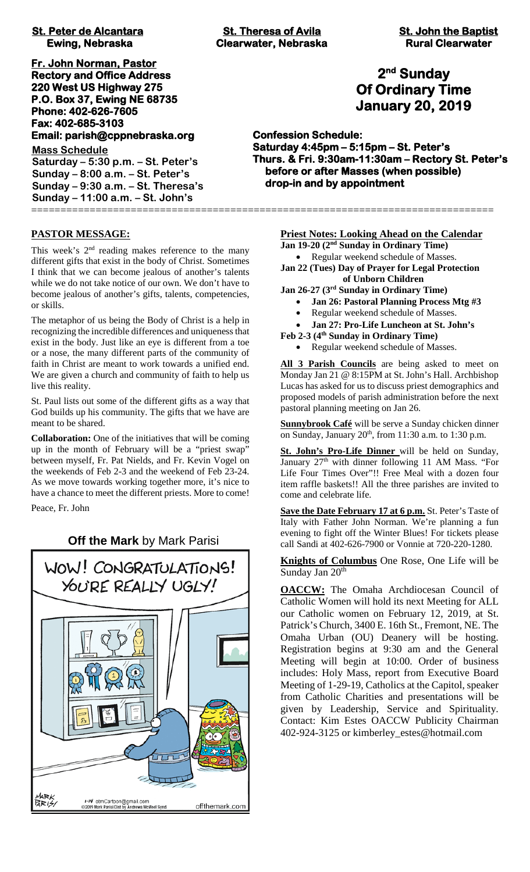# **St. Peter de Alcantara** St. Theresa of Avila St. John the Baptist **St. John the Baptist**

**Fr. John Norman, Pastor Rectory and Office Address 220 West US Highway 275 P.O. Box 37, Ewing NE 68735 Phone: 402-626-7605 Fax: 402-685-3103 Email: parish@cppnebraska.org** 

**Mass Schedule Saturday – 5:30 p.m. – St. Peter's Sunday – 8:00 a.m. – St. Peter's Sunday – 9:30 a.m. – St. Theresa's Sunday – 11:00 a.m. – St. John's** ===============================================================================

### **PASTOR MESSAGE:**

This week's  $2<sup>nd</sup>$  reading makes reference to the many different gifts that exist in the body of Christ. Sometimes I think that we can become jealous of another's talents while we do not take notice of our own. We don't have to become jealous of another's gifts, talents, competencies, or skills.

The metaphor of us being the Body of Christ is a help in recognizing the incredible differences and uniqueness that exist in the body. Just like an eye is different from a toe or a nose, the many different parts of the community of faith in Christ are meant to work towards a unified end. We are given a church and community of faith to help us live this reality.

St. Paul lists out some of the different gifts as a way that God builds up his community. The gifts that we have are meant to be shared.

**Collaboration:** One of the initiatives that will be coming up in the month of February will be a "priest swap" between myself, Fr. Pat Nields, and Fr. Kevin Vogel on the weekends of Feb 2-3 and the weekend of Feb 23-24. As we move towards working together more, it's nice to have a chance to meet the different priests. More to come!

Peace, Fr. John

### **Off the Mark** by Mark Parisi



 **Ewing, Nebraska Clearwater, Nebraska Rural Clearwater**

## **2nd Sunday Of Ordinary Time January 20, 2019**

**Confession Schedule: Saturday 4:45pm – 5:15pm – St. Peter's Thurs. & Fri. 9:30am-11:30am – Rectory St. Peter's before or after Masses (when possible) drop-in and by appointment** 

### **Priest Notes: Looking Ahead on the Calendar**

**Jan 19-20 (2nd Sunday in Ordinary Time)**

- Regular weekend schedule of Masses.
- **Jan 22 (Tues) Day of Prayer for Legal Protection of Unborn Children**

**Jan 26-27 (3rd Sunday in Ordinary Time)**

- **Jan 26: Pastoral Planning Process Mtg #3**
- Regular weekend schedule of Masses.
- **Jan 27: Pro-Life Luncheon at St. John's**
- **Feb 2-3 (4th Sunday in Ordinary Time)**
	- Regular weekend schedule of Masses.

**All 3 Parish Councils** are being asked to meet on Monday Jan 21 @ 8:15PM at St. John's Hall. Archbishop Lucas has asked for us to discuss priest demographics and proposed models of parish administration before the next pastoral planning meeting on Jan 26.

**Sunnybrook Café** will be serve a Sunday chicken dinner on Sunday, January  $20<sup>th</sup>$ , from 11:30 a.m. to 1:30 p.m.

**St. John's Pro-Life Dinner** will be held on Sunday, January 27<sup>th</sup> with dinner following 11 AM Mass. "For Life Four Times Over"!! Free Meal with a dozen four item raffle baskets!! All the three parishes are invited to come and celebrate life.

**Save the Date February 17 at 6 p.m.** St. Peter's Taste of Italy with Father John Norman. We're planning a fun evening to fight off the Winter Blues! For tickets please call Sandi at 402-626-7900 or Vonnie at 720-220-1280.

**Knights of Columbus** One Rose, One Life will be Sunday Jan 20<sup>th</sup>

**OACCW:** The Omaha Archdiocesan Council of Catholic Women will hold its next Meeting for ALL our Catholic women on February 12, 2019, at St. Patrick's Church, 3400 E. 16th St., Fremont, NE. The Omaha Urban (OU) Deanery will be hosting. Registration begins at 9:30 am and the General Meeting will begin at 10:00. Order of business includes: Holy Mass, report from Executive Board Meeting of 1-29-19, Catholics at the Capitol, speaker from Catholic Charities and presentations will be given by Leadership, Service and Spirituality. Contact: Kim Estes OACCW Publicity Chairman 402-924-3125 or kimberley\_estes@hotmail.com